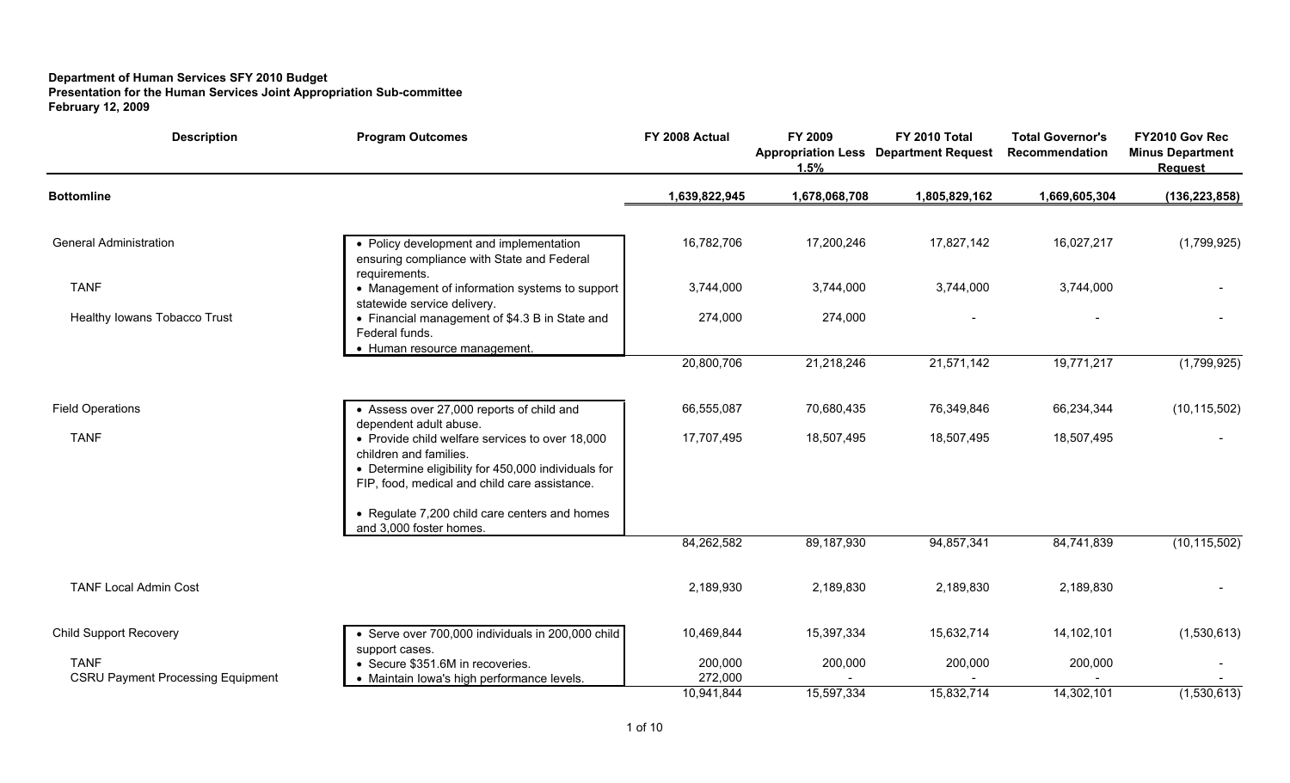## **Department of Human Services SFY 2010 Budget Presentation for the Human Services Joint Appropriation Sub-committee February 12, 2009**

| <b>Description</b>                                      | <b>Program Outcomes</b>                                                                                                                                                           | FY 2008 Actual     | FY 2009<br><b>Appropriation Less</b><br>1.5% | FY 2010 Total<br><b>Department Request</b> | <b>Total Governor's</b><br>Recommendation | FY2010 Gov Rec<br><b>Minus Department</b><br><b>Request</b> |
|---------------------------------------------------------|-----------------------------------------------------------------------------------------------------------------------------------------------------------------------------------|--------------------|----------------------------------------------|--------------------------------------------|-------------------------------------------|-------------------------------------------------------------|
| <b>Bottomline</b>                                       |                                                                                                                                                                                   | 1,639,822,945      | 1,678,068,708                                | 1,805,829,162                              | 1,669,605,304                             | (136, 223, 858)                                             |
| <b>General Administration</b>                           | • Policy development and implementation<br>ensuring compliance with State and Federal<br>requirements.                                                                            | 16,782,706         | 17,200,246                                   | 17,827,142                                 | 16,027,217                                | (1,799,925)                                                 |
| <b>TANF</b>                                             | • Management of information systems to support<br>statewide service delivery.                                                                                                     | 3,744,000          | 3,744,000                                    | 3,744,000                                  | 3,744,000                                 |                                                             |
| Healthy Iowans Tobacco Trust                            | • Financial management of \$4.3 B in State and<br>Federal funds.<br>• Human resource management.                                                                                  | 274,000            | 274,000                                      |                                            |                                           |                                                             |
|                                                         |                                                                                                                                                                                   | 20,800,706         | 21,218,246                                   | 21,571,142                                 | 19,771,217                                | (1,799,925)                                                 |
| <b>Field Operations</b>                                 | • Assess over 27,000 reports of child and<br>dependent adult abuse.                                                                                                               | 66,555,087         | 70,680,435                                   | 76,349,846                                 | 66,234,344                                | (10, 115, 502)                                              |
| <b>TANF</b>                                             | • Provide child welfare services to over 18,000<br>children and families.<br>• Determine eligibility for 450,000 individuals for<br>FIP, food, medical and child care assistance. | 17,707,495         | 18,507,495                                   | 18,507,495                                 | 18,507,495                                |                                                             |
|                                                         | • Regulate 7,200 child care centers and homes<br>and 3,000 foster homes.                                                                                                          |                    |                                              |                                            |                                           |                                                             |
|                                                         |                                                                                                                                                                                   | 84,262,582         | 89,187,930                                   | 94,857,341                                 | 84,741,839                                | (10, 115, 502)                                              |
| <b>TANF Local Admin Cost</b>                            |                                                                                                                                                                                   | 2,189,930          | 2,189,830                                    | 2,189,830                                  | 2,189,830                                 |                                                             |
| <b>Child Support Recovery</b>                           | • Serve over 700,000 individuals in 200,000 child<br>support cases.                                                                                                               | 10,469,844         | 15,397,334                                   | 15,632,714                                 | 14,102,101                                | (1,530,613)                                                 |
| <b>TANF</b><br><b>CSRU Payment Processing Equipment</b> | • Secure \$351.6M in recoveries.<br>Maintain lowa's high performance levels.                                                                                                      | 200,000<br>272,000 | 200,000                                      | 200,000                                    | 200,000                                   |                                                             |
|                                                         |                                                                                                                                                                                   | 10,941,844         | 15,597,334                                   | 15,832,714                                 | 14,302,101                                | (1,530,613)                                                 |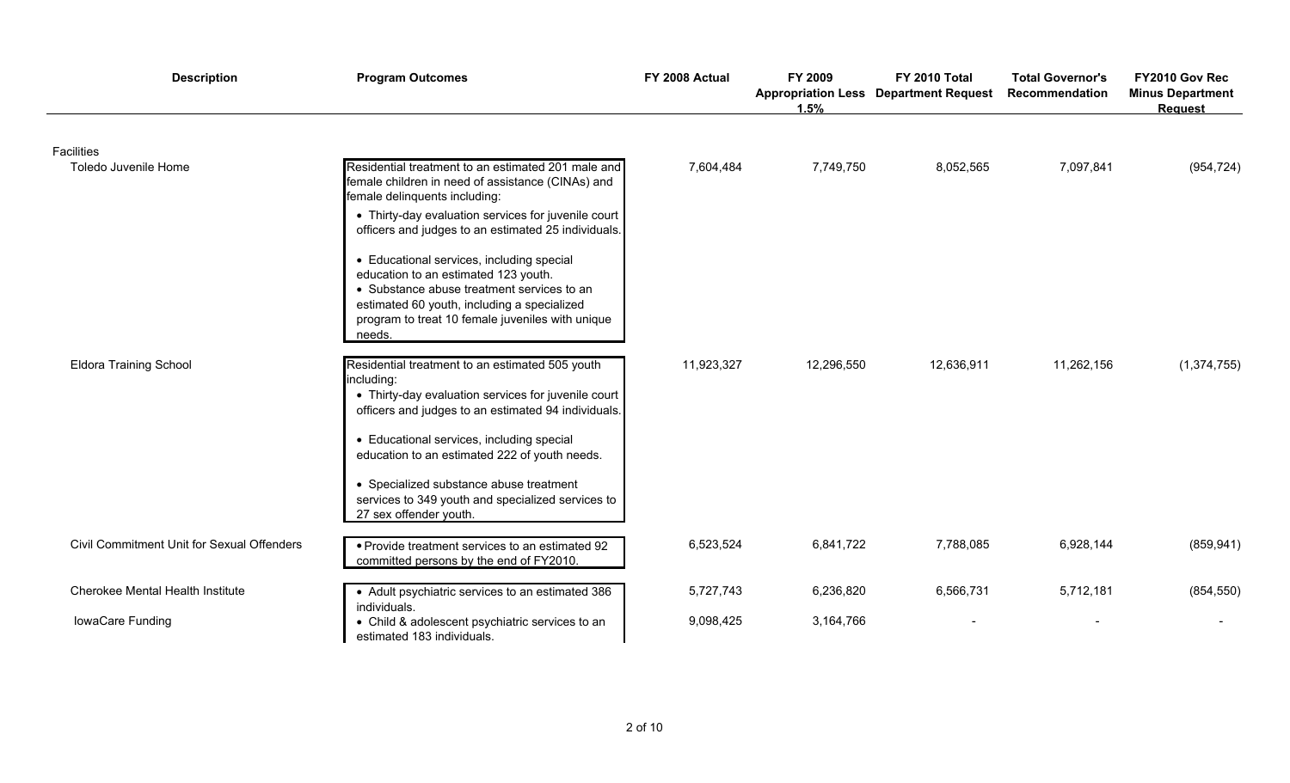| <b>Description</b>                         | <b>Program Outcomes</b>                                                                                                                                                                                                                      | FY 2008 Actual | FY 2009<br>1.5% | FY 2010 Total<br><b>Appropriation Less Department Request</b> | <b>Total Governor's</b><br>Recommendation | FY2010 Gov Rec<br><b>Minus Department</b><br><b>Request</b> |
|--------------------------------------------|----------------------------------------------------------------------------------------------------------------------------------------------------------------------------------------------------------------------------------------------|----------------|-----------------|---------------------------------------------------------------|-------------------------------------------|-------------------------------------------------------------|
| Facilities                                 |                                                                                                                                                                                                                                              |                |                 |                                                               |                                           |                                                             |
| Toledo Juvenile Home                       | Residential treatment to an estimated 201 male and<br>female children in need of assistance (CINAs) and<br>female delinquents including:                                                                                                     | 7,604,484      | 7,749,750       | 8,052,565                                                     | 7,097,841                                 | (954, 724)                                                  |
|                                            | • Thirty-day evaluation services for juvenile court<br>officers and judges to an estimated 25 individuals.                                                                                                                                   |                |                 |                                                               |                                           |                                                             |
|                                            | • Educational services, including special<br>education to an estimated 123 youth.<br>• Substance abuse treatment services to an<br>estimated 60 youth, including a specialized<br>program to treat 10 female juveniles with unique<br>needs. |                |                 |                                                               |                                           |                                                             |
| <b>Eldora Training School</b>              | Residential treatment to an estimated 505 youth<br>including:<br>• Thirty-day evaluation services for juvenile court<br>officers and judges to an estimated 94 individuals.                                                                  | 11,923,327     | 12,296,550      | 12,636,911                                                    | 11,262,156                                | (1, 374, 755)                                               |
|                                            | • Educational services, including special<br>education to an estimated 222 of youth needs.                                                                                                                                                   |                |                 |                                                               |                                           |                                                             |
|                                            | • Specialized substance abuse treatment<br>services to 349 youth and specialized services to<br>27 sex offender youth.                                                                                                                       |                |                 |                                                               |                                           |                                                             |
| Civil Commitment Unit for Sexual Offenders | • Provide treatment services to an estimated 92<br>committed persons by the end of FY2010.                                                                                                                                                   | 6,523,524      | 6,841,722       | 7,788,085                                                     | 6,928,144                                 | (859, 941)                                                  |
| Cherokee Mental Health Institute           | • Adult psychiatric services to an estimated 386<br>individuals.                                                                                                                                                                             | 5,727,743      | 6,236,820       | 6,566,731                                                     | 5,712,181                                 | (854, 550)                                                  |
| IowaCare Funding                           | • Child & adolescent psychiatric services to an<br>estimated 183 individuals.                                                                                                                                                                | 9,098,425      | 3,164,766       |                                                               |                                           |                                                             |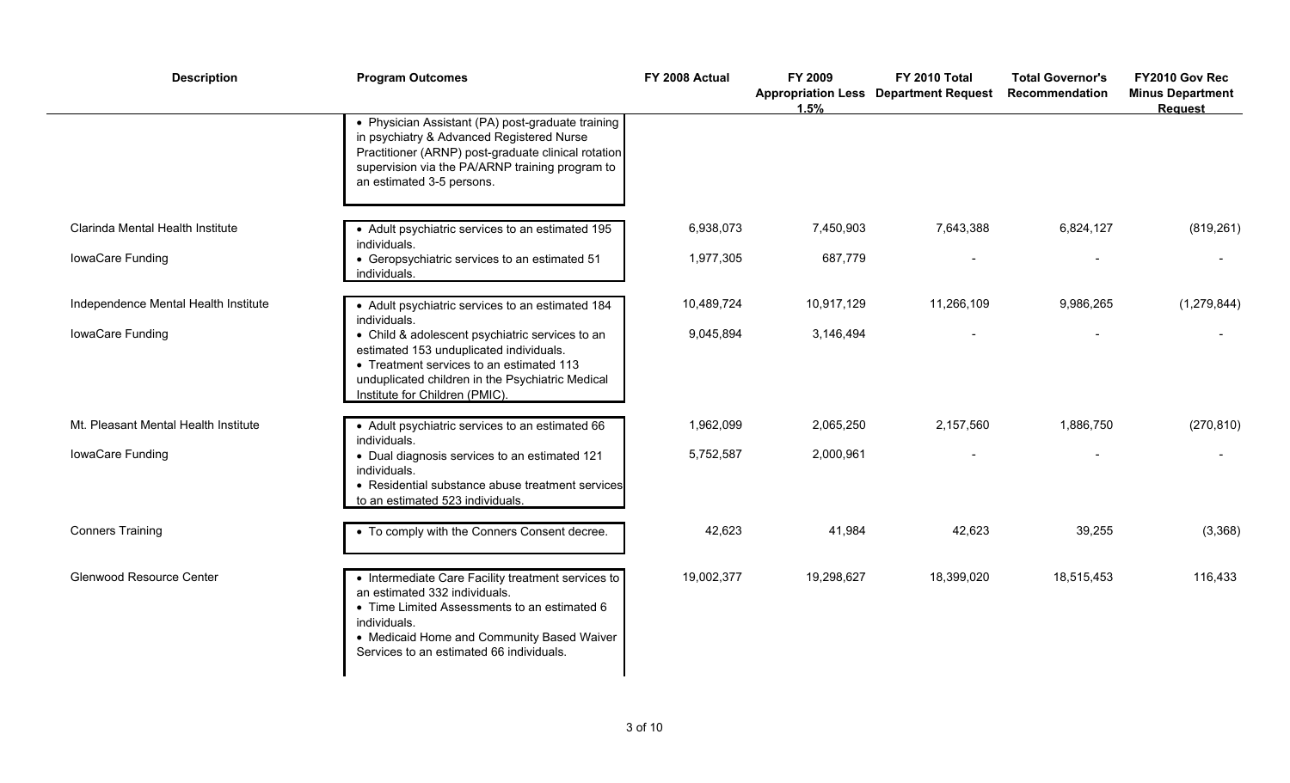| <b>Description</b>                   | <b>Program Outcomes</b>                                                                                                                                                                                                                       | FY 2008 Actual | FY 2009<br>1.5% | FY 2010 Total<br><b>Appropriation Less Department Request</b> | <b>Total Governor's</b><br>Recommendation | FY2010 Gov Rec<br><b>Minus Department</b><br><b>Request</b> |
|--------------------------------------|-----------------------------------------------------------------------------------------------------------------------------------------------------------------------------------------------------------------------------------------------|----------------|-----------------|---------------------------------------------------------------|-------------------------------------------|-------------------------------------------------------------|
|                                      | • Physician Assistant (PA) post-graduate training<br>in psychiatry & Advanced Registered Nurse<br>Practitioner (ARNP) post-graduate clinical rotation<br>supervision via the PA/ARNP training program to<br>an estimated 3-5 persons.         |                |                 |                                                               |                                           |                                                             |
| Clarinda Mental Health Institute     | • Adult psychiatric services to an estimated 195<br>individuals.                                                                                                                                                                              | 6,938,073      | 7,450,903       | 7,643,388                                                     | 6,824,127                                 | (819, 261)                                                  |
| IowaCare Funding                     | • Geropsychiatric services to an estimated 51<br>individuals.                                                                                                                                                                                 | 1,977,305      | 687,779         |                                                               |                                           |                                                             |
| Independence Mental Health Institute | • Adult psychiatric services to an estimated 184<br>individuals.                                                                                                                                                                              | 10,489,724     | 10,917,129      | 11,266,109                                                    | 9,986,265                                 | (1, 279, 844)                                               |
| IowaCare Funding                     | • Child & adolescent psychiatric services to an<br>estimated 153 unduplicated individuals.<br>• Treatment services to an estimated 113<br>unduplicated children in the Psychiatric Medical<br>Institute for Children (PMIC).                  | 9,045,894      | 3,146,494       |                                                               |                                           |                                                             |
| Mt. Pleasant Mental Health Institute | • Adult psychiatric services to an estimated 66<br>individuals.                                                                                                                                                                               | 1,962,099      | 2,065,250       | 2,157,560                                                     | 1,886,750                                 | (270, 810)                                                  |
| IowaCare Funding                     | • Dual diagnosis services to an estimated 121<br>individuals.<br>• Residential substance abuse treatment services<br>to an estimated 523 individuals.                                                                                         | 5,752,587      | 2,000,961       |                                                               |                                           |                                                             |
| <b>Conners Training</b>              | • To comply with the Conners Consent decree.                                                                                                                                                                                                  | 42,623         | 41,984          | 42,623                                                        | 39,255                                    | (3,368)                                                     |
| Glenwood Resource Center             | • Intermediate Care Facility treatment services to<br>an estimated 332 individuals.<br>• Time Limited Assessments to an estimated 6<br>individuals.<br>• Medicaid Home and Community Based Waiver<br>Services to an estimated 66 individuals. | 19,002,377     | 19,298,627      | 18,399,020                                                    | 18,515,453                                | 116,433                                                     |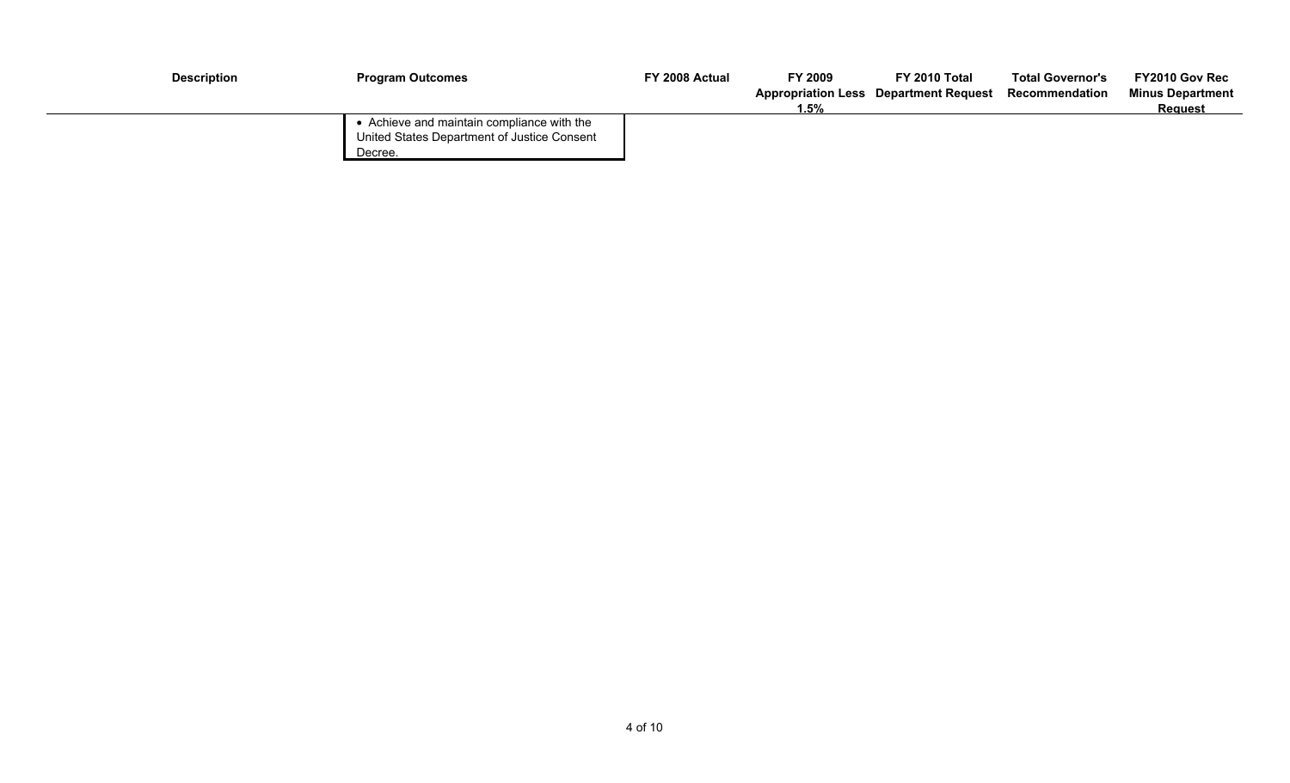| <b>Description</b> | <b>Program Outcomes</b>                                                                              | FY 2008 Actual | FY 2009<br>$1.5\%$ | FY 2010 Total<br><b>Appropriation Less Department Request</b> | <b>Total Governor's</b><br>Recommendation | FY2010 Gov Rec<br><b>Minus Department</b><br>Request |
|--------------------|------------------------------------------------------------------------------------------------------|----------------|--------------------|---------------------------------------------------------------|-------------------------------------------|------------------------------------------------------|
|                    | • Achieve and maintain compliance with the<br>United States Department of Justice Consent<br>Decree. |                |                    |                                                               |                                           |                                                      |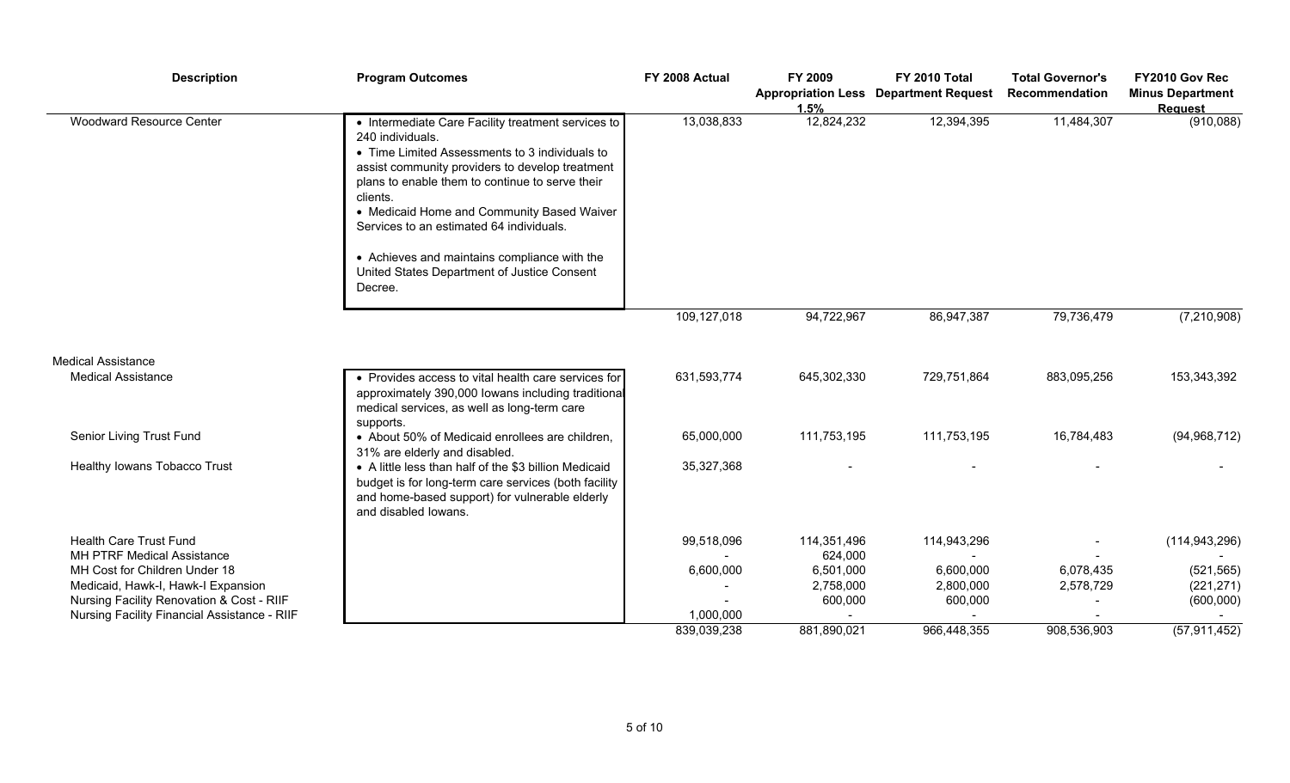| 12,824,232<br><b>Woodward Resource Center</b><br>13,038,833<br>12,394,395<br>11,484,307<br>• Intermediate Care Facility treatment services to<br>240 individuals.<br>• Time Limited Assessments to 3 individuals to<br>assist community providers to develop treatment<br>plans to enable them to continue to serve their |          | 1.5% | <b>Appropriation Less Department Request</b> | <b>Total Governor's</b><br>Recommendation | FY2010 Gov Rec<br><b>Minus Department</b><br><b>Request</b> |
|---------------------------------------------------------------------------------------------------------------------------------------------------------------------------------------------------------------------------------------------------------------------------------------------------------------------------|----------|------|----------------------------------------------|-------------------------------------------|-------------------------------------------------------------|
| • Medicaid Home and Community Based Waiver<br>Services to an estimated 64 individuals.<br>• Achieves and maintains compliance with the<br>United States Department of Justice Consent<br>Decree.                                                                                                                          | clients. |      |                                              |                                           | (910,088)                                                   |
| 109,127,018<br>94,722,967<br>86,947,387<br>79,736,479                                                                                                                                                                                                                                                                     |          |      |                                              |                                           | (7, 210, 908)                                               |
| <b>Medical Assistance</b>                                                                                                                                                                                                                                                                                                 |          |      |                                              |                                           |                                                             |
| 631,593,774<br>645,302,330<br>729,751,864<br>883,095,256<br><b>Medical Assistance</b><br>• Provides access to vital health care services for<br>approximately 390,000 lowans including traditional<br>medical services, as well as long-term care<br>supports.                                                            |          |      |                                              |                                           | 153,343,392                                                 |
| Senior Living Trust Fund<br>65,000,000<br>111,753,195<br>111,753,195<br>16,784,483<br>• About 50% of Medicaid enrollees are children,<br>31% are elderly and disabled.                                                                                                                                                    |          |      |                                              |                                           | (94, 968, 712)                                              |
| Healthy Iowans Tobacco Trust<br>• A little less than half of the \$3 billion Medicaid<br>35,327,368<br>budget is for long-term care services (both facility<br>and home-based support) for vulnerable elderly<br>and disabled lowans.                                                                                     |          |      |                                              |                                           |                                                             |
| <b>Health Care Trust Fund</b><br>99,518,096<br>114,943,296<br>114,351,496<br>MH PTRF Medical Assistance<br>624,000                                                                                                                                                                                                        |          |      |                                              |                                           | (114, 943, 296)                                             |
| MH Cost for Children Under 18<br>6,600,000<br>6,501,000<br>6,600,000<br>6,078,435                                                                                                                                                                                                                                         |          |      |                                              |                                           | (521, 565)                                                  |
| Medicaid, Hawk-I, Hawk-I Expansion<br>2,758,000<br>2,800,000<br>2,578,729                                                                                                                                                                                                                                                 |          |      |                                              |                                           | (221, 271)                                                  |
| Nursing Facility Renovation & Cost - RIIF<br>600,000<br>600,000                                                                                                                                                                                                                                                           |          |      |                                              |                                           | (600,000)                                                   |
| Nursing Facility Financial Assistance - RIIF<br>1,000,000<br>881,890,021<br>966,448,355<br>908,536,903<br>839,039,238                                                                                                                                                                                                     |          |      |                                              |                                           | (57, 911, 452)                                              |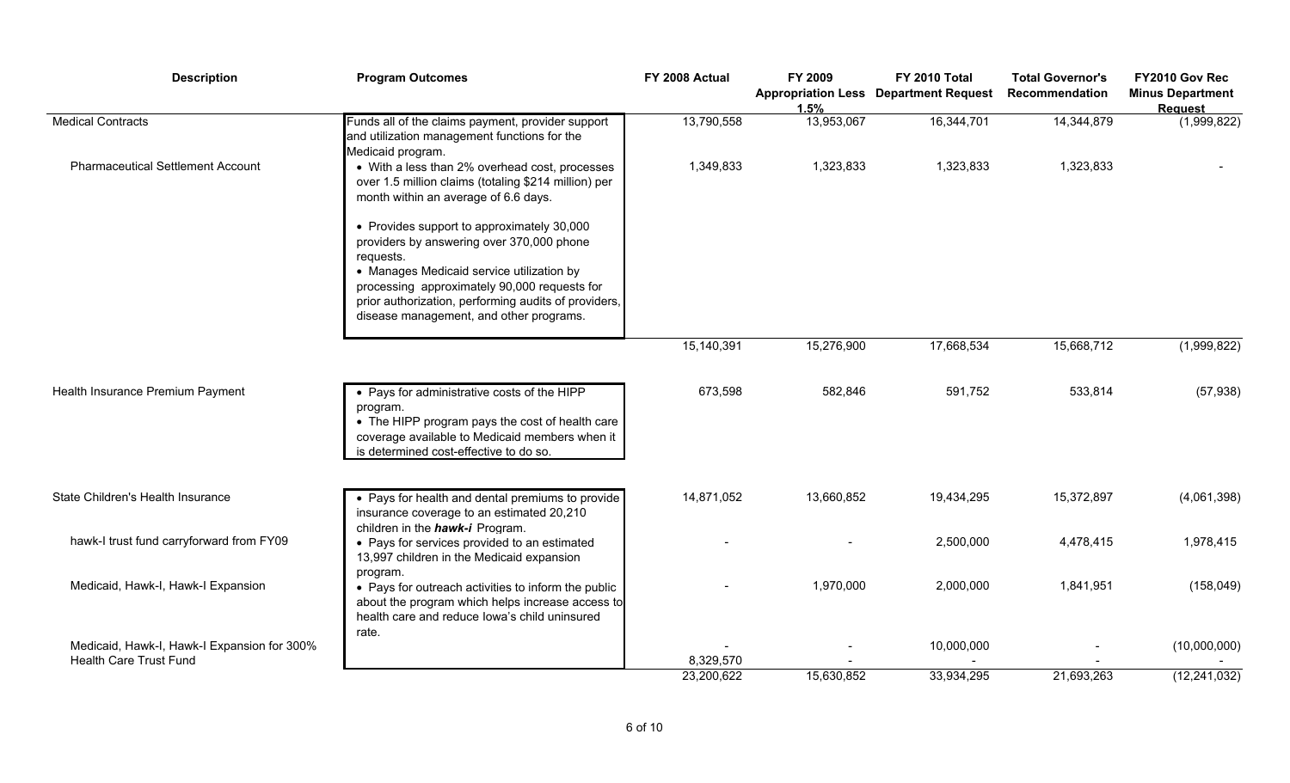| <b>Description</b>                                                           | <b>Program Outcomes</b>                                                                                                                                                                                                                                                                              | FY 2008 Actual | FY 2009<br>1.5% | FY 2010 Total<br><b>Appropriation Less Department Request</b> | <b>Total Governor's</b><br>Recommendation | FY2010 Gov Rec<br><b>Minus Department</b><br><b>Request</b> |
|------------------------------------------------------------------------------|------------------------------------------------------------------------------------------------------------------------------------------------------------------------------------------------------------------------------------------------------------------------------------------------------|----------------|-----------------|---------------------------------------------------------------|-------------------------------------------|-------------------------------------------------------------|
| <b>Medical Contracts</b>                                                     | Funds all of the claims payment, provider support<br>and utilization management functions for the<br>Medicaid program.                                                                                                                                                                               | 13,790,558     | 13,953,067      | 16,344,701                                                    | 14,344,879                                | (1,999,822)                                                 |
| <b>Pharmaceutical Settlement Account</b>                                     | • With a less than 2% overhead cost, processes<br>over 1.5 million claims (totaling \$214 million) per<br>month within an average of 6.6 days.                                                                                                                                                       | 1,349,833      | 1,323,833       | 1,323,833                                                     | 1,323,833                                 |                                                             |
|                                                                              | • Provides support to approximately 30,000<br>providers by answering over 370,000 phone<br>requests.<br>• Manages Medicaid service utilization by<br>processing approximately 90,000 requests for<br>prior authorization, performing audits of providers,<br>disease management, and other programs. |                |                 |                                                               |                                           |                                                             |
|                                                                              |                                                                                                                                                                                                                                                                                                      | 15,140,391     | 15,276,900      | 17,668,534                                                    | 15,668,712                                | (1,999,822)                                                 |
| Health Insurance Premium Payment                                             | • Pays for administrative costs of the HIPP<br>program.<br>• The HIPP program pays the cost of health care<br>coverage available to Medicaid members when it<br>is determined cost-effective to do so.                                                                                               | 673,598        | 582,846         | 591,752                                                       | 533,814                                   | (57, 938)                                                   |
| State Children's Health Insurance                                            | • Pays for health and dental premiums to provide<br>insurance coverage to an estimated 20,210                                                                                                                                                                                                        | 14,871,052     | 13,660,852      | 19,434,295                                                    | 15,372,897                                | (4,061,398)                                                 |
| hawk-I trust fund carryforward from FY09                                     | children in the hawk-i Program.<br>• Pays for services provided to an estimated<br>13,997 children in the Medicaid expansion<br>program.                                                                                                                                                             |                |                 | 2,500,000                                                     | 4,478,415                                 | 1,978,415                                                   |
| Medicaid, Hawk-I, Hawk-I Expansion                                           | • Pays for outreach activities to inform the public<br>about the program which helps increase access to<br>health care and reduce lowa's child uninsured                                                                                                                                             |                | 1,970,000       | 2,000,000                                                     | 1,841,951                                 | (158, 049)                                                  |
| Medicaid, Hawk-I, Hawk-I Expansion for 300%<br><b>Health Care Trust Fund</b> | rate.                                                                                                                                                                                                                                                                                                | 8,329,570      |                 | 10,000,000                                                    |                                           | (10,000,000)                                                |
|                                                                              |                                                                                                                                                                                                                                                                                                      | 23,200,622     | 15,630,852      | 33,934,295                                                    | 21,693,263                                | (12, 241, 032)                                              |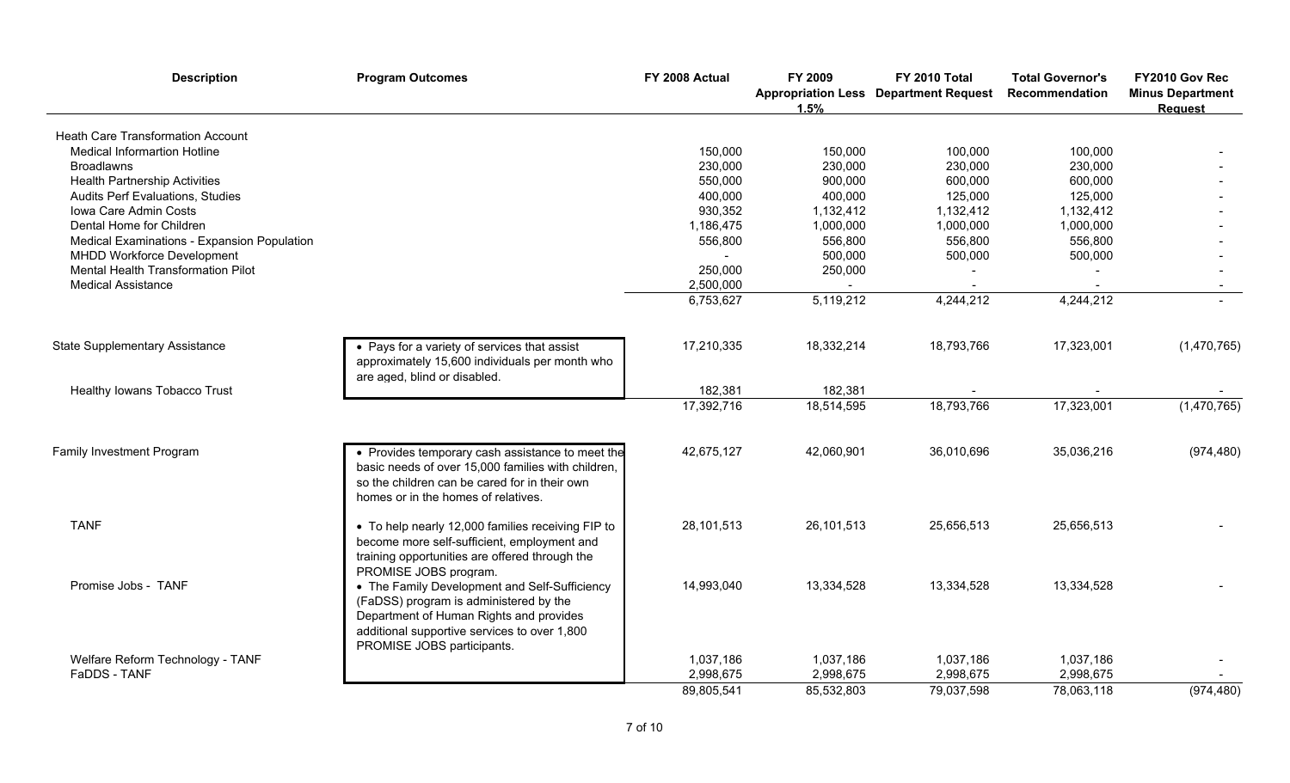| <b>Description</b>                          | <b>Program Outcomes</b>                                                                                                                                                                                          | FY 2008 Actual | FY 2009<br>1.5% | FY 2010 Total<br><b>Appropriation Less Department Request</b> | <b>Total Governor's</b><br><b>Recommendation</b> | FY2010 Gov Rec<br><b>Minus Department</b><br><b>Request</b> |
|---------------------------------------------|------------------------------------------------------------------------------------------------------------------------------------------------------------------------------------------------------------------|----------------|-----------------|---------------------------------------------------------------|--------------------------------------------------|-------------------------------------------------------------|
| <b>Heath Care Transformation Account</b>    |                                                                                                                                                                                                                  |                |                 |                                                               |                                                  |                                                             |
| <b>Medical Informartion Hotline</b>         |                                                                                                                                                                                                                  | 150,000        | 150,000         | 100,000                                                       | 100,000                                          |                                                             |
| <b>Broadlawns</b>                           |                                                                                                                                                                                                                  | 230,000        | 230,000         | 230,000                                                       | 230,000                                          |                                                             |
| <b>Health Partnership Activities</b>        |                                                                                                                                                                                                                  | 550,000        | 900,000         | 600,000                                                       | 600,000                                          |                                                             |
| <b>Audits Perf Evaluations, Studies</b>     |                                                                                                                                                                                                                  | 400,000        | 400,000         | 125,000                                                       | 125,000                                          |                                                             |
| Iowa Care Admin Costs                       |                                                                                                                                                                                                                  | 930,352        | 1,132,412       | 1,132,412                                                     | 1,132,412                                        |                                                             |
| Dental Home for Children                    |                                                                                                                                                                                                                  | 1,186,475      | 1,000,000       | 1,000,000                                                     | 1,000,000                                        |                                                             |
| Medical Examinations - Expansion Population |                                                                                                                                                                                                                  | 556,800        | 556,800         | 556,800                                                       | 556,800                                          |                                                             |
| MHDD Workforce Development                  |                                                                                                                                                                                                                  |                | 500,000         | 500,000                                                       | 500,000                                          |                                                             |
| Mental Health Transformation Pilot          |                                                                                                                                                                                                                  | 250,000        | 250,000         |                                                               |                                                  |                                                             |
| <b>Medical Assistance</b>                   |                                                                                                                                                                                                                  | 2,500,000      |                 |                                                               |                                                  |                                                             |
|                                             |                                                                                                                                                                                                                  | 6,753,627      | 5,119,212       | 4,244,212                                                     | 4,244,212                                        |                                                             |
| <b>State Supplementary Assistance</b>       | • Pays for a variety of services that assist<br>approximately 15,600 individuals per month who                                                                                                                   | 17,210,335     | 18,332,214      | 18,793,766                                                    | 17,323,001                                       | (1,470,765)                                                 |
|                                             | are aged, blind or disabled.                                                                                                                                                                                     |                |                 |                                                               |                                                  |                                                             |
| Healthy Iowans Tobacco Trust                |                                                                                                                                                                                                                  | 182,381        | 182,381         |                                                               |                                                  |                                                             |
|                                             |                                                                                                                                                                                                                  | 17,392,716     | 18,514,595      | 18,793,766                                                    | 17,323,001                                       | (1,470,765)                                                 |
| Family Investment Program                   | • Provides temporary cash assistance to meet the<br>basic needs of over 15,000 families with children,<br>so the children can be cared for in their own<br>homes or in the homes of relatives.                   | 42,675,127     | 42,060,901      | 36,010,696                                                    | 35,036,216                                       | (974, 480)                                                  |
| <b>TANF</b>                                 | • To help nearly 12,000 families receiving FIP to<br>become more self-sufficient, employment and<br>training opportunities are offered through the<br>PROMISE JOBS program.                                      | 28,101,513     | 26,101,513      | 25,656,513                                                    | 25,656,513                                       |                                                             |
| Promise Jobs - TANF                         | • The Family Development and Self-Sufficiency<br>(FaDSS) program is administered by the<br>Department of Human Rights and provides<br>additional supportive services to over 1,800<br>PROMISE JOBS participants. | 14,993,040     | 13,334,528      | 13,334,528                                                    | 13,334,528                                       |                                                             |
| Welfare Reform Technology - TANF            |                                                                                                                                                                                                                  | 1,037,186      | 1,037,186       | 1,037,186                                                     | 1,037,186                                        |                                                             |
| FaDDS - TANF                                |                                                                                                                                                                                                                  | 2,998,675      | 2,998,675       | 2,998,675                                                     | 2,998,675                                        |                                                             |
|                                             |                                                                                                                                                                                                                  | 89,805,541     | 85,532,803      | 79,037,598                                                    | 78,063,118                                       | (974, 480)                                                  |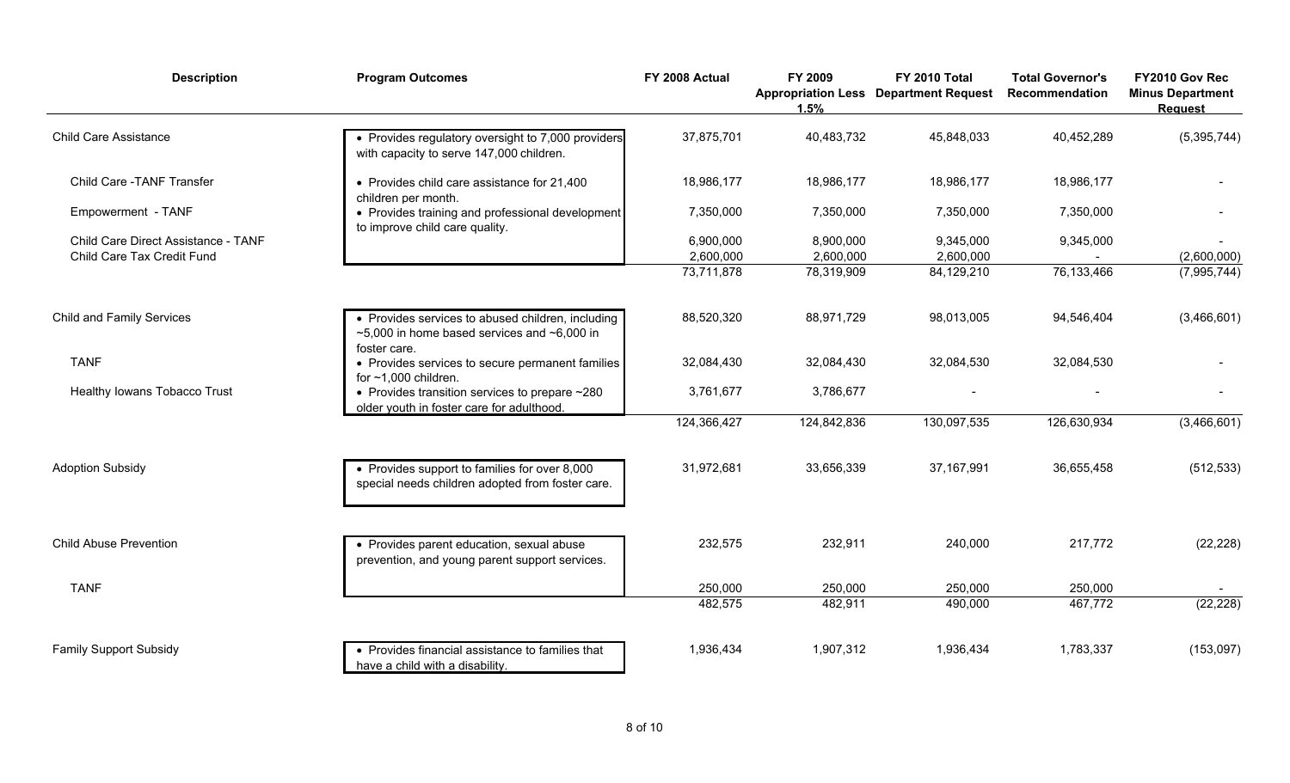| <b>Description</b>                                                | <b>Program Outcomes</b>                                                                                                      | FY 2008 Actual         | FY 2009<br>1.5%        | FY 2010 Total<br><b>Appropriation Less Department Request</b> | <b>Total Governor's</b><br>Recommendation | FY2010 Gov Rec<br><b>Minus Department</b><br><b>Request</b> |
|-------------------------------------------------------------------|------------------------------------------------------------------------------------------------------------------------------|------------------------|------------------------|---------------------------------------------------------------|-------------------------------------------|-------------------------------------------------------------|
| <b>Child Care Assistance</b>                                      | • Provides regulatory oversight to 7,000 providers<br>with capacity to serve 147,000 children.                               | 37,875,701             | 40,483,732             | 45,848,033                                                    | 40,452,289                                | (5, 395, 744)                                               |
| Child Care - TANF Transfer                                        | • Provides child care assistance for 21,400<br>children per month.                                                           | 18,986,177             | 18,986,177             | 18,986,177                                                    | 18,986,177                                |                                                             |
| Empowerment - TANF                                                | • Provides training and professional development<br>to improve child care quality.                                           | 7,350,000              | 7,350,000              | 7,350,000                                                     | 7,350,000                                 |                                                             |
| Child Care Direct Assistance - TANF<br>Child Care Tax Credit Fund |                                                                                                                              | 6,900,000<br>2,600,000 | 8,900,000<br>2,600,000 | 9,345,000<br>2,600,000                                        | 9,345,000                                 | (2,600,000)                                                 |
|                                                                   |                                                                                                                              | 73,711,878             | 78,319,909             | 84,129,210                                                    | 76, 133, 466                              | (7,995,744)                                                 |
| <b>Child and Family Services</b>                                  | • Provides services to abused children, including<br>$\sim$ 5,000 in home based services and $\sim$ 6,000 in<br>foster care. | 88,520,320             | 88,971,729             | 98,013,005                                                    | 94,546,404                                | (3,466,601)                                                 |
| <b>TANF</b>                                                       | • Provides services to secure permanent families<br>for $~1,000$ children.                                                   | 32,084,430             | 32,084,430             | 32,084,530                                                    | 32,084,530                                |                                                             |
| Healthy Iowans Tobacco Trust                                      | • Provides transition services to prepare $\sim$ 280<br>older youth in foster care for adulthood.                            | 3,761,677              | 3,786,677              |                                                               |                                           |                                                             |
|                                                                   |                                                                                                                              | 124,366,427            | 124,842,836            | 130,097,535                                                   | 126,630,934                               | (3,466,601)                                                 |
| <b>Adoption Subsidy</b>                                           | • Provides support to families for over 8,000<br>special needs children adopted from foster care.                            | 31,972,681             | 33,656,339             | 37, 167, 991                                                  | 36,655,458                                | (512, 533)                                                  |
| <b>Child Abuse Prevention</b>                                     | • Provides parent education, sexual abuse<br>prevention, and young parent support services.                                  | 232,575                | 232,911                | 240,000                                                       | 217,772                                   | (22, 228)                                                   |
| <b>TANF</b>                                                       |                                                                                                                              | 250,000                | 250,000                | 250,000                                                       | 250,000                                   |                                                             |
|                                                                   |                                                                                                                              | 482,575                | 482,911                | 490,000                                                       | 467,772                                   | (22, 228)                                                   |
| <b>Family Support Subsidy</b>                                     | • Provides financial assistance to families that<br>have a child with a disability.                                          | 1,936,434              | 1,907,312              | 1,936,434                                                     | 1,783,337                                 | (153,097)                                                   |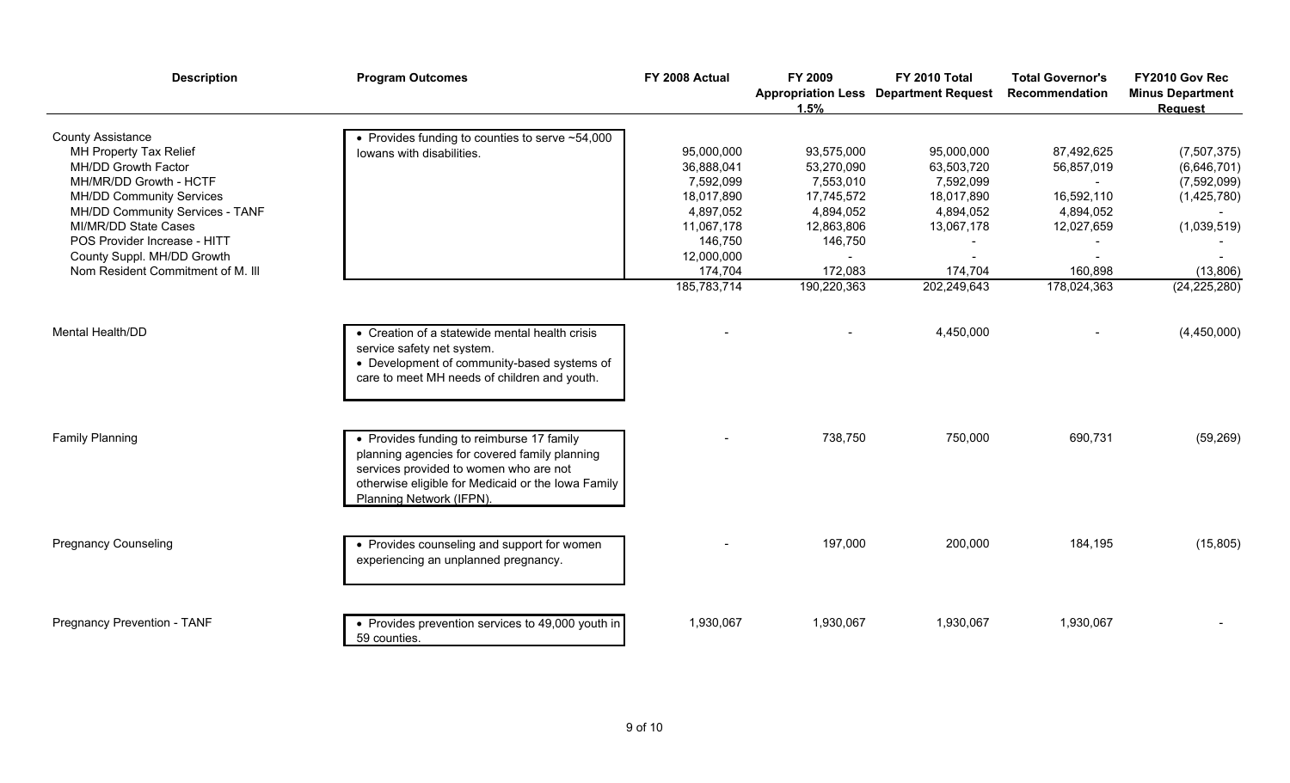| <b>Description</b>                | <b>Program Outcomes</b>                                                      | FY 2008 Actual | FY 2009<br>1.5% | FY 2010 Total<br><b>Appropriation Less Department Request</b> | <b>Total Governor's</b><br>Recommendation | FY2010 Gov Rec<br><b>Minus Department</b><br><b>Request</b> |
|-----------------------------------|------------------------------------------------------------------------------|----------------|-----------------|---------------------------------------------------------------|-------------------------------------------|-------------------------------------------------------------|
| <b>County Assistance</b>          | • Provides funding to counties to serve $~54,000$                            |                |                 |                                                               |                                           |                                                             |
| MH Property Tax Relief            | lowans with disabilities.                                                    | 95,000,000     | 93,575,000      | 95,000,000                                                    | 87,492,625                                | (7, 507, 375)                                               |
| MH/DD Growth Factor               |                                                                              | 36,888,041     | 53,270,090      | 63,503,720                                                    | 56,857,019                                | (6,646,701)                                                 |
| MH/MR/DD Growth - HCTF            |                                                                              | 7,592,099      | 7,553,010       | 7,592,099                                                     |                                           | (7,592,099)                                                 |
| <b>MH/DD Community Services</b>   |                                                                              | 18,017,890     | 17,745,572      | 18,017,890                                                    | 16,592,110                                | (1,425,780)                                                 |
| MH/DD Community Services - TANF   |                                                                              | 4,897,052      | 4,894,052       | 4,894,052                                                     | 4,894,052                                 |                                                             |
| MI/MR/DD State Cases              |                                                                              | 11,067,178     | 12,863,806      | 13,067,178                                                    | 12,027,659                                | (1,039,519)                                                 |
| POS Provider Increase - HITT      |                                                                              | 146,750        | 146,750         |                                                               |                                           |                                                             |
| County Suppl. MH/DD Growth        |                                                                              | 12,000,000     |                 |                                                               |                                           |                                                             |
| Nom Resident Commitment of M. III |                                                                              | 174,704        | 172,083         | 174,704                                                       | 160,898                                   | (13,806)                                                    |
|                                   |                                                                              | 185,783,714    | 190,220,363     | 202,249,643                                                   | 178,024,363                               | (24, 225, 280)                                              |
|                                   |                                                                              |                |                 |                                                               |                                           |                                                             |
| <b>Mental Health/DD</b>           | • Creation of a statewide mental health crisis<br>service safety net system. |                |                 | 4,450,000                                                     |                                           | (4,450,000)                                                 |
|                                   | • Development of community-based systems of                                  |                |                 |                                                               |                                           |                                                             |
|                                   | care to meet MH needs of children and youth.                                 |                |                 |                                                               |                                           |                                                             |
|                                   |                                                                              |                |                 |                                                               |                                           |                                                             |
|                                   |                                                                              |                |                 |                                                               |                                           |                                                             |
| <b>Family Planning</b>            | • Provides funding to reimburse 17 family                                    |                | 738,750         | 750,000                                                       | 690,731                                   | (59, 269)                                                   |
|                                   | planning agencies for covered family planning                                |                |                 |                                                               |                                           |                                                             |
|                                   |                                                                              |                |                 |                                                               |                                           |                                                             |
|                                   | services provided to women who are not                                       |                |                 |                                                               |                                           |                                                             |
|                                   | otherwise eligible for Medicaid or the Iowa Family                           |                |                 |                                                               |                                           |                                                             |
|                                   | Planning Network (IFPN).                                                     |                |                 |                                                               |                                           |                                                             |
|                                   |                                                                              |                |                 |                                                               |                                           |                                                             |
| <b>Pregnancy Counseling</b>       | • Provides counseling and support for women                                  |                | 197,000         | 200,000                                                       | 184,195                                   | (15,805)                                                    |
|                                   | experiencing an unplanned pregnancy.                                         |                |                 |                                                               |                                           |                                                             |
|                                   |                                                                              |                |                 |                                                               |                                           |                                                             |
|                                   |                                                                              |                |                 |                                                               |                                           |                                                             |
| Pregnancy Prevention - TANF       | • Provides prevention services to 49,000 youth in                            | 1,930,067      | 1,930,067       | 1,930,067                                                     | 1,930,067                                 |                                                             |
|                                   | 59 counties.                                                                 |                |                 |                                                               |                                           |                                                             |